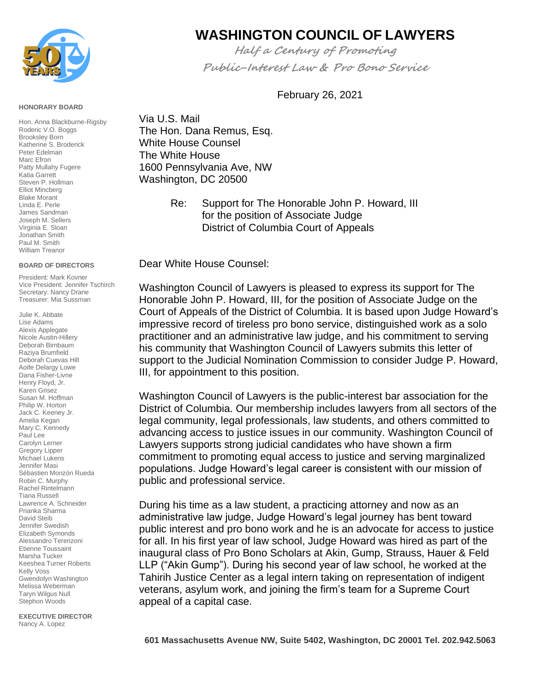

## **HONORARY BOARD**

Hon. Anna Blackburne-Rigsby Roderic V.O. Boggs Brooksley Born Katherine S. Broderick Peter Edelman Marc Efron Patty Mullahy Fugere Katia Garrett Steven P. Hollman Elliot Mincberg Blake Morant Linda E. Perle James Sandman Joseph M. Sellers Virginia E. Sloan Jonathan Smith Paul M. Smith William Treanor

## **BOARD OF DIRECTORS**

President: Mark Kovner Vice President: Jennifer Tschirch Secretary: Nancy Drane Treasurer: Mia Sussman

Julie K. Abbate Lise Adams Alexis Applegate Nicole Austin-Hillery Deborah Birnbaum Raziya Brumfield Deborah Cuevas Hill Aoife Delargy Lowe Dana Fisher-Livne Henry Floyd, Jr. Karen Grisez Susan M. Hoffman Philip W. Horton Jack C. Keeney Jr. Amelia Kegan Mary C. Kennedy Paul Lee Carolyn Lerner Gregory Lipper Michael Lukens Jennifer Masi Sébastien Monzón Rueda Robin C. Murphy Rachel Rintelmann Tiana Russell Lawrence A. Schneider Prianka Sharma David Steib Jennifer Swedish Elizabeth Symonds Alessandro Terenzoni Etienne Toussaint Marsha Tucker Keeshea Turner Roberts Kelly Voss Gwendolyn Washington Melissa Weberman Taryn Wilgus Null Stephon Woods

**EXECUTIVE DIRECTOR**  Nancy A. Lopez

## **WASHINGTON COUNCIL OF LAWYERS**

**Half a Century of Promoting Public-Interest Law & Pro Bono Service**

February 26, 2021

Via U.S. Mail The Hon. Dana Remus, Esq. White House Counsel The White House [1600 Pennsylvania Ave, NW](x-apple-data-detectors://1/) [Washington, DC 20500](x-apple-data-detectors://1/)

> Re: Support for The Honorable John P. Howard, III for the position of Associate Judge District of Columbia Court of Appeals

Dear White House Counsel:

Washington Council of Lawyers is pleased to express its support for The Honorable John P. Howard, III, for the position of Associate Judge on the Court of Appeals of the District of Columbia. It is based upon Judge Howard's impressive record of tireless pro bono service, distinguished work as a solo practitioner and an administrative law judge, and his commitment to serving his community that Washington Council of Lawyers submits this letter of support to the Judicial Nomination Commission to consider Judge P. Howard, III, for appointment to this position.

Washington Council of Lawyers is the public-interest bar association for the District of Columbia. Our membership includes lawyers from all sectors of the legal community, legal professionals, law students, and others committed to advancing access to justice issues in our community. Washington Council of Lawyers supports strong judicial candidates who have shown a firm commitment to promoting equal access to justice and serving marginalized populations. Judge Howard's legal career is consistent with our mission of public and professional service.

During his time as a law student, a practicing attorney and now as an administrative law judge, Judge Howard's legal journey has bent toward public interest and pro bono work and he is an advocate for access to justice for all. In his first year of law school, Judge Howard was hired as part of the inaugural class of Pro Bono Scholars at Akin, Gump, Strauss, Hauer & Feld LLP ("Akin Gump"). During his second year of law school, he worked at the Tahirih Justice Center as a legal intern taking on representation of indigent veterans, asylum work, and joining the firm's team for a Supreme Court appeal of a capital case.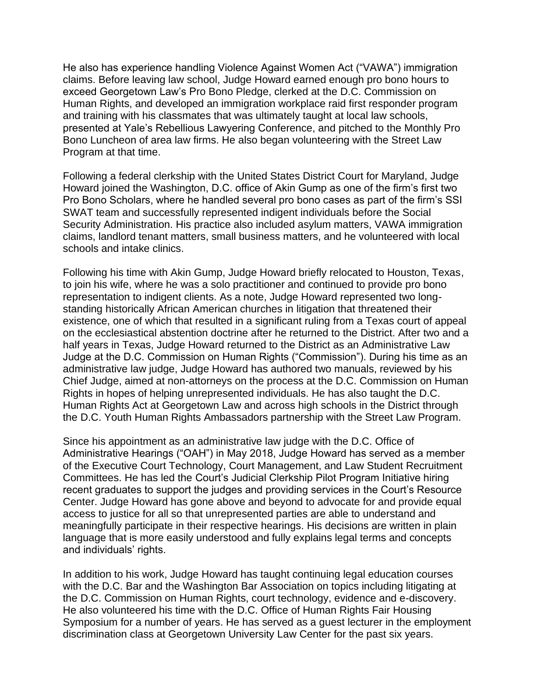He also has experience handling Violence Against Women Act ("VAWA") immigration claims. Before leaving law school, Judge Howard earned enough pro bono hours to exceed Georgetown Law's Pro Bono Pledge, clerked at the D.C. Commission on Human Rights, and developed an immigration workplace raid first responder program and training with his classmates that was ultimately taught at local law schools, presented at Yale's Rebellious Lawyering Conference, and pitched to the Monthly Pro Bono Luncheon of area law firms. He also began volunteering with the Street Law Program at that time.

Following a federal clerkship with the United States District Court for Maryland, Judge Howard joined the Washington, D.C. office of Akin Gump as one of the firm's first two Pro Bono Scholars, where he handled several pro bono cases as part of the firm's SSI SWAT team and successfully represented indigent individuals before the Social Security Administration. His practice also included asylum matters, VAWA immigration claims, landlord tenant matters, small business matters, and he volunteered with local schools and intake clinics.

Following his time with Akin Gump, Judge Howard briefly relocated to Houston, Texas, to join his wife, where he was a solo practitioner and continued to provide pro bono representation to indigent clients. As a note, Judge Howard represented two longstanding historically African American churches in litigation that threatened their existence, one of which that resulted in a significant ruling from a Texas court of appeal on the ecclesiastical abstention doctrine after he returned to the District. After two and a half years in Texas, Judge Howard returned to the District as an Administrative Law Judge at the D.C. Commission on Human Rights ("Commission"). During his time as an administrative law judge, Judge Howard has authored two manuals, reviewed by his Chief Judge, aimed at non-attorneys on the process at the D.C. Commission on Human Rights in hopes of helping unrepresented individuals. He has also taught the D.C. Human Rights Act at Georgetown Law and across high schools in the District through the D.C. Youth Human Rights Ambassadors partnership with the Street Law Program.

Since his appointment as an administrative law judge with the D.C. Office of Administrative Hearings ("OAH") in May 2018, Judge Howard has served as a member of the Executive Court Technology, Court Management, and Law Student Recruitment Committees. He has led the Court's Judicial Clerkship Pilot Program Initiative hiring recent graduates to support the judges and providing services in the Court's Resource Center. Judge Howard has gone above and beyond to advocate for and provide equal access to justice for all so that unrepresented parties are able to understand and meaningfully participate in their respective hearings. His decisions are written in plain language that is more easily understood and fully explains legal terms and concepts and individuals' rights.

In addition to his work, Judge Howard has taught continuing legal education courses with the D.C. Bar and the Washington Bar Association on topics including litigating at the D.C. Commission on Human Rights, court technology, evidence and e-discovery. He also volunteered his time with the D.C. Office of Human Rights Fair Housing Symposium for a number of years. He has served as a guest lecturer in the employment discrimination class at Georgetown University Law Center for the past six years.